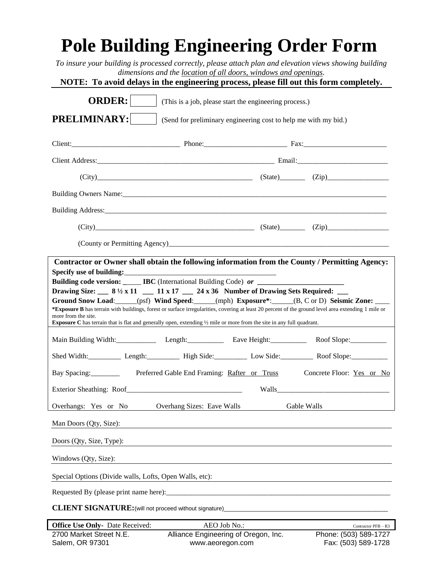# **Pole Building Engineering Order Form**

*To insure your building is processed correctly, please attach plan and elevation views showing building dimensions and the location of all doors, windows and openings.*

**NOTE: To avoid delays in the engineering process, please fill out this form completely.**

| <b>ORDER:</b><br>(This is a job, please start the engineering process.)                                                                                                                                                                                                                                                                                                                                                                                                                                                                                                                                                      |                                                                           |                                              |
|------------------------------------------------------------------------------------------------------------------------------------------------------------------------------------------------------------------------------------------------------------------------------------------------------------------------------------------------------------------------------------------------------------------------------------------------------------------------------------------------------------------------------------------------------------------------------------------------------------------------------|---------------------------------------------------------------------------|----------------------------------------------|
| PRELIMINARY:<br>(Send for preliminary engineering cost to help me with my bid.)                                                                                                                                                                                                                                                                                                                                                                                                                                                                                                                                              |                                                                           |                                              |
|                                                                                                                                                                                                                                                                                                                                                                                                                                                                                                                                                                                                                              |                                                                           |                                              |
|                                                                                                                                                                                                                                                                                                                                                                                                                                                                                                                                                                                                                              |                                                                           |                                              |
|                                                                                                                                                                                                                                                                                                                                                                                                                                                                                                                                                                                                                              | $(City)$ $(Zip)$ $(Zip)$                                                  |                                              |
|                                                                                                                                                                                                                                                                                                                                                                                                                                                                                                                                                                                                                              |                                                                           |                                              |
|                                                                                                                                                                                                                                                                                                                                                                                                                                                                                                                                                                                                                              |                                                                           |                                              |
|                                                                                                                                                                                                                                                                                                                                                                                                                                                                                                                                                                                                                              | $(City)$ $(Zip)$ $(Zip)$ $(Zip)$                                          |                                              |
|                                                                                                                                                                                                                                                                                                                                                                                                                                                                                                                                                                                                                              |                                                                           |                                              |
| Specify use of building:<br>Building code version: _____ IBC (International Building Code) or _____<br>Drawing Size: $\_\_\_\_8$ 8 ½ x 11 $\_\_\_\_$ 11 x 17 $\_\_\_$ 24 x 36 Number of Drawing Sets Required:<br>Ground Snow Load: _____(psf) Wind Speed: _____(mph) Exposure*: _____(B, C or D) Seismic Zone: ____<br>*Exposure B has terrain with buildings, forest or surface irregularities, covering at least 20 percent of the ground level area extending 1 mile or<br>more from the site.<br>Exposure C has terrain that is flat and generally open, extending 1/2 mile or more from the site in any full quadrant. |                                                                           |                                              |
|                                                                                                                                                                                                                                                                                                                                                                                                                                                                                                                                                                                                                              | Main Building Width: Length: Length: Eave Height: Roof Slope: Roof Slope: |                                              |
| Shed Width: Length: Length: High Side: Low Side: Roof Slope: Roof Slope:                                                                                                                                                                                                                                                                                                                                                                                                                                                                                                                                                     |                                                                           |                                              |
| Bay Spacing:<br>Preferred Gable End Framing: Rafter or Truss<br>Concrete Floor: Yes or No                                                                                                                                                                                                                                                                                                                                                                                                                                                                                                                                    |                                                                           |                                              |
|                                                                                                                                                                                                                                                                                                                                                                                                                                                                                                                                                                                                                              |                                                                           |                                              |
| Overhangs: Yes or No                                                                                                                                                                                                                                                                                                                                                                                                                                                                                                                                                                                                         | Overhang Sizes: Eave Walls                                                | Gable Walls                                  |
| Man Doors (Qty, Size):                                                                                                                                                                                                                                                                                                                                                                                                                                                                                                                                                                                                       |                                                                           |                                              |
| Doors (Qty, Size, Type):                                                                                                                                                                                                                                                                                                                                                                                                                                                                                                                                                                                                     |                                                                           |                                              |
| Windows (Qty, Size):                                                                                                                                                                                                                                                                                                                                                                                                                                                                                                                                                                                                         |                                                                           |                                              |
| Special Options (Divide walls, Lofts, Open Walls, etc):                                                                                                                                                                                                                                                                                                                                                                                                                                                                                                                                                                      |                                                                           |                                              |
|                                                                                                                                                                                                                                                                                                                                                                                                                                                                                                                                                                                                                              |                                                                           |                                              |
| CLIENT SIGNATURE: (will not proceed without signature)___________________________                                                                                                                                                                                                                                                                                                                                                                                                                                                                                                                                            |                                                                           |                                              |
| <b>Office Use Only-</b> Date Received:                                                                                                                                                                                                                                                                                                                                                                                                                                                                                                                                                                                       | AEO Job No.:                                                              | Contractor PFB - R3                          |
| 2700 Market Street N.E.<br>Salem, OR 97301                                                                                                                                                                                                                                                                                                                                                                                                                                                                                                                                                                                   | Alliance Engineering of Oregon, Inc.<br>www.aeoregon.com                  | Phone: (503) 589-1727<br>Fax: (503) 589-1728 |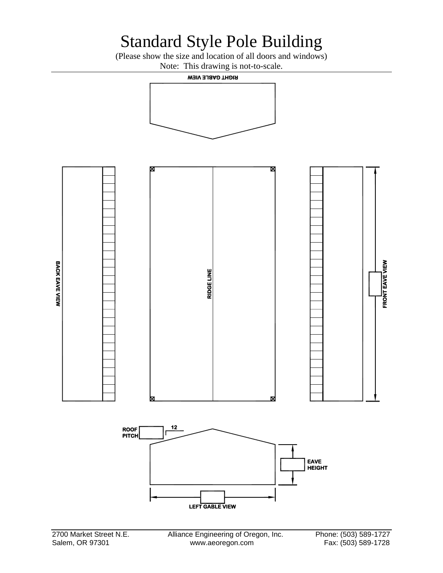### Standard Style Pole Building

(Please show the size and location of all doors and windows) Note: This drawing is not-to-scale.

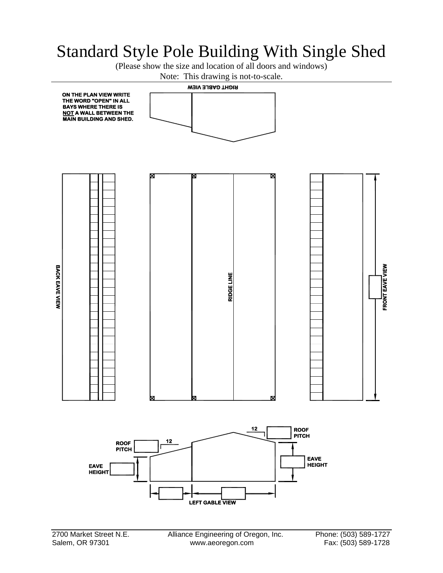#### Standard Style Pole Building With Single Shed

(Please show the size and location of all doors and windows)

Note: This drawing is not-to-scale.

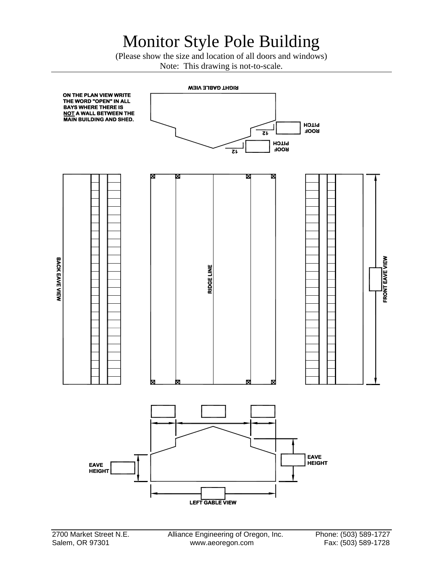## Monitor Style Pole Building

(Please show the size and location of all doors and windows) Note: This drawing is not-to-scale.